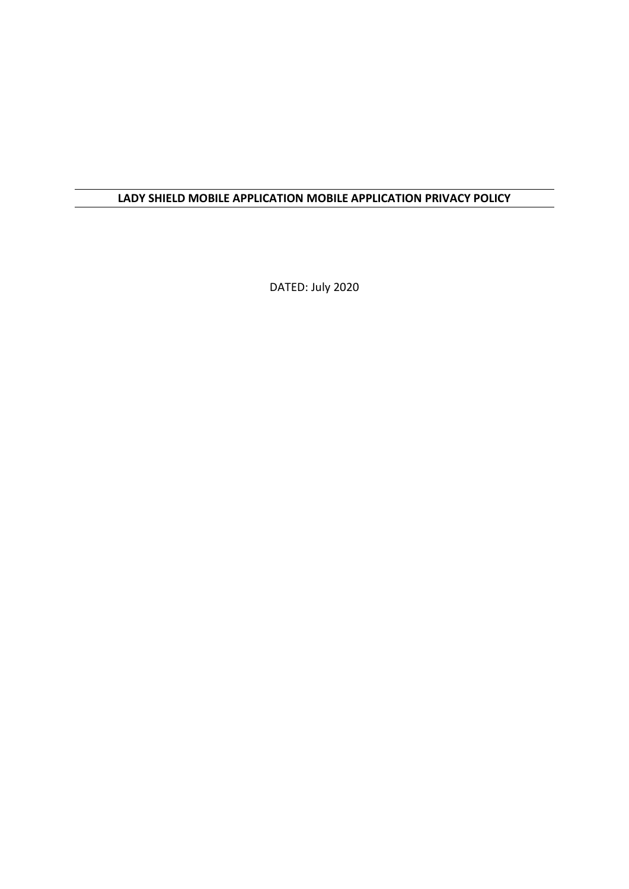# **LADY SHIELD MOBILE APPLICATION MOBILE APPLICATION PRIVACY POLICY**

DATED: July 2020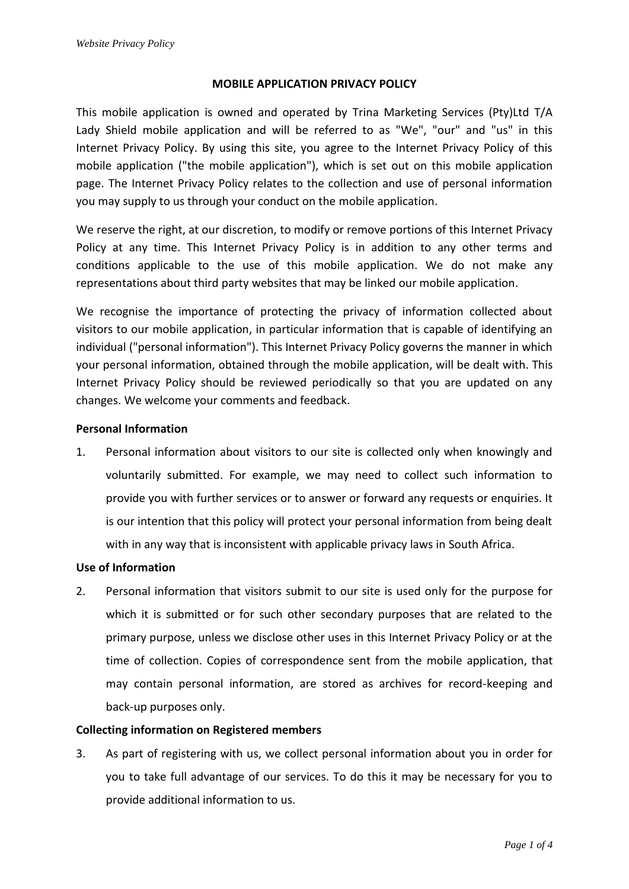## **MOBILE APPLICATION PRIVACY POLICY**

This mobile application is owned and operated by Trina Marketing Services (Pty)Ltd T/A Lady Shield mobile application and will be referred to as "We", "our" and "us" in this Internet Privacy Policy. By using this site, you agree to the Internet Privacy Policy of this mobile application ("the mobile application"), which is set out on this mobile application page. The Internet Privacy Policy relates to the collection and use of personal information you may supply to us through your conduct on the mobile application.

We reserve the right, at our discretion, to modify or remove portions of this Internet Privacy Policy at any time. This Internet Privacy Policy is in addition to any other terms and conditions applicable to the use of this mobile application. We do not make any representations about third party websites that may be linked our mobile application.

We recognise the importance of protecting the privacy of information collected about visitors to our mobile application, in particular information that is capable of identifying an individual ("personal information"). This Internet Privacy Policy governs the manner in which your personal information, obtained through the mobile application, will be dealt with. This Internet Privacy Policy should be reviewed periodically so that you are updated on any changes. We welcome your comments and feedback.

## **Personal Information**

1. Personal information about visitors to our site is collected only when knowingly and voluntarily submitted. For example, we may need to collect such information to provide you with further services or to answer or forward any requests or enquiries. It is our intention that this policy will protect your personal information from being dealt with in any way that is inconsistent with applicable privacy laws in South Africa.

## **Use of Information**

2. Personal information that visitors submit to our site is used only for the purpose for which it is submitted or for such other secondary purposes that are related to the primary purpose, unless we disclose other uses in this Internet Privacy Policy or at the time of collection. Copies of correspondence sent from the mobile application, that may contain personal information, are stored as archives for record-keeping and back-up purposes only.

## **Collecting information on Registered members**

3. As part of registering with us, we collect personal information about you in order for you to take full advantage of our services. To do this it may be necessary for you to provide additional information to us.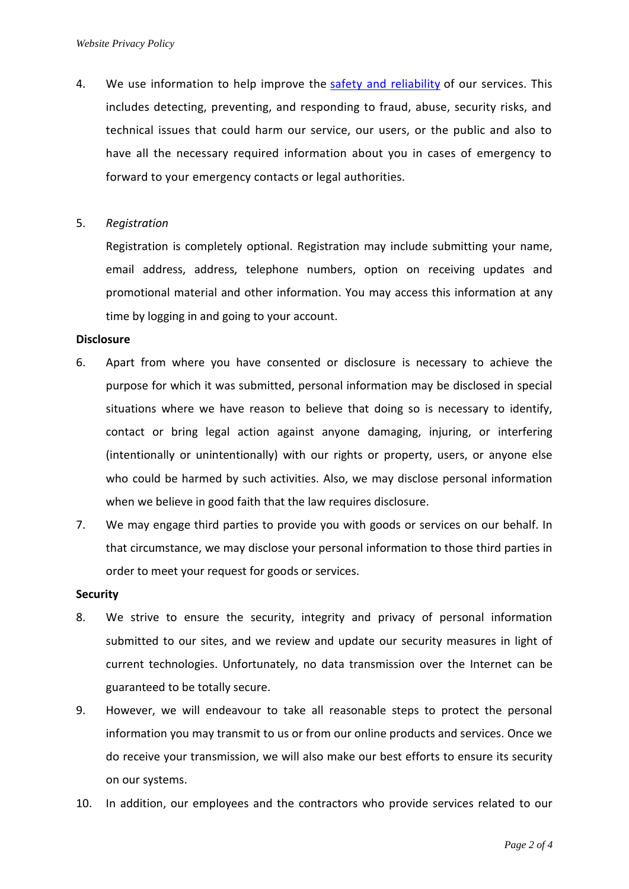4. We use information to help improve the [safety and reliability](https://policies.google.com/privacy?hl=en-US#footnote-safety-reliability) of our services. This includes detecting, preventing, and responding to fraud, abuse, security risks, and technical issues that could harm our service, our users, or the public and also to have all the necessary required information about you in cases of emergency to forward to your emergency contacts or legal authorities.

## 5. *Registration*

Registration is completely optional. Registration may include submitting your name, email address, address, telephone numbers, option on receiving updates and promotional material and other information. You may access this information at any time by logging in and going to your account.

### **Disclosure**

- 6. Apart from where you have consented or disclosure is necessary to achieve the purpose for which it was submitted, personal information may be disclosed in special situations where we have reason to believe that doing so is necessary to identify, contact or bring legal action against anyone damaging, injuring, or interfering (intentionally or unintentionally) with our rights or property, users, or anyone else who could be harmed by such activities. Also, we may disclose personal information when we believe in good faith that the law requires disclosure.
- 7. We may engage third parties to provide you with goods or services on our behalf. In that circumstance, we may disclose your personal information to those third parties in order to meet your request for goods or services.

#### **Security**

- 8. We strive to ensure the security, integrity and privacy of personal information submitted to our sites, and we review and update our security measures in light of current technologies. Unfortunately, no data transmission over the Internet can be guaranteed to be totally secure.
- 9. However, we will endeavour to take all reasonable steps to protect the personal information you may transmit to us or from our online products and services. Once we do receive your transmission, we will also make our best efforts to ensure its security on our systems.
- 10. In addition, our employees and the contractors who provide services related to our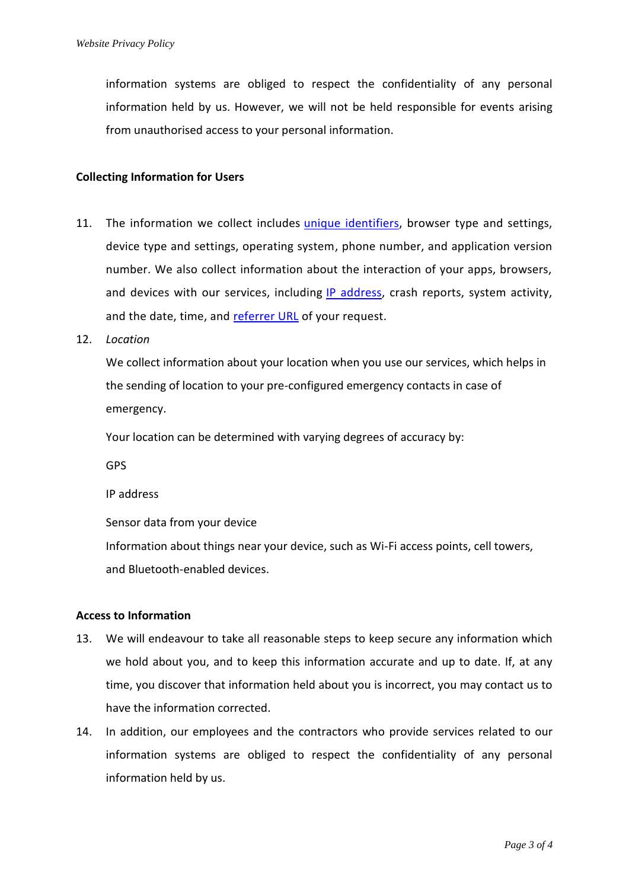information systems are obliged to respect the confidentiality of any personal information held by us. However, we will not be held responsible for events arising from unauthorised access to your personal information.

## **Collecting Information for Users**

- 11. The information we collect includes *unique identifiers*, browser type and settings, device type and settings, operating system, phone number, and application version number. We also collect information about the interaction of your apps, browsers, and devices with our services, including [IP address,](https://policies.google.com/privacy?hl=en-US#footnote-ip) crash reports, system activity, and the date, time, and [referrer URL](https://policies.google.com/privacy?hl=en-US#footnote-referrer-url) of your request.
- 12. *Location*

We collect information about your location when you use our services, which helps in the sending of location to your pre-configured emergency contacts in case of emergency.

Your location can be determined with varying degrees of accuracy by:

GPS

IP address

Sensor data from your device

Information about things near your device, such as Wi-Fi access points, cell towers, and Bluetooth-enabled devices.

### **Access to Information**

- 13. We will endeavour to take all reasonable steps to keep secure any information which we hold about you, and to keep this information accurate and up to date. If, at any time, you discover that information held about you is incorrect, you may contact us to have the information corrected.
- 14. In addition, our employees and the contractors who provide services related to our information systems are obliged to respect the confidentiality of any personal information held by us.